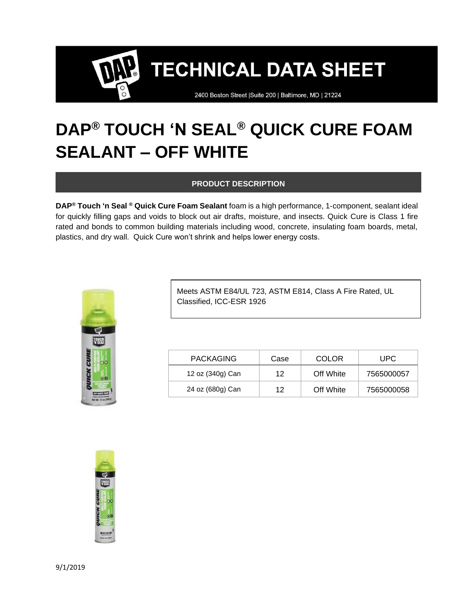2400 Boston Street | Suite 200 | Baltimore, MD | 21224

### **DAP® TOUCH 'N SEAL® QUICK CURE FOAM SEALANT – OFF WHITE**

#### **PRODUCT DESCRIPTION**

**DAP® Touch 'n Seal ® Quick Cure Foam Sealant** foam is a high performance, 1-component, sealant ideal for quickly filling gaps and voids to block out air drafts, moisture, and insects. Quick Cure is Class 1 fire rated and bonds to common building materials including wood, concrete, insulating foam boards, metal, plastics, and dry wall. Quick Cure won't shrink and helps lower energy costs.



Meets ASTM E84/UL 723, ASTM E814, Class A Fire Rated, UL Classified, ICC-ESR 1926

| <b>PACKAGING</b> | Case | COLOR     | UPC.       |
|------------------|------|-----------|------------|
| 12 oz (340g) Can | 12   | Off White | 7565000057 |
| 24 oz (680g) Can | 12   | Off White | 7565000058 |

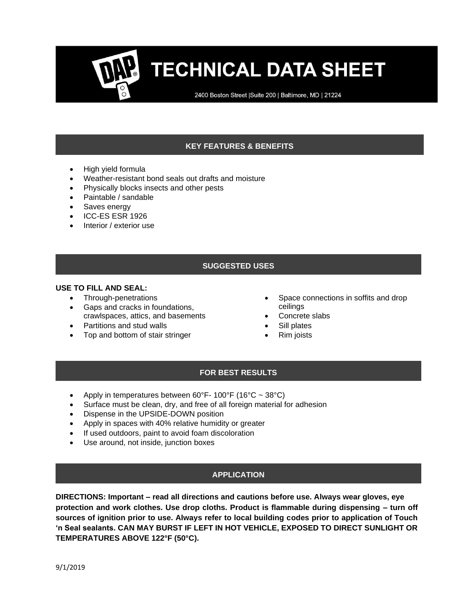2400 Boston Street | Suite 200 | Baltimore, MD | 21224

#### **KEY FEATURES & BENEFITS**

- High yield formula
- Weather-resistant bond seals out drafts and moisture
- Physically blocks insects and other pests
- Paintable / sandable
- Saves energy
- ICC-ES ESR 1926
- Interior / exterior use

#### **SUGGESTED USES**

#### **USE TO FILL AND SEAL:**

- Through-penetrations
- Gaps and cracks in foundations, crawlspaces, attics, and basements
- Partitions and stud walls
- Top and bottom of stair stringer
- Space connections in soffits and drop ceilings
- Concrete slabs
- Sill plates
- Rim joists

#### **FOR BEST RESULTS**

- Apply in temperatures between  $60^{\circ}$ F- 100°F (16°C ~ 38°C)
- Surface must be clean, dry, and free of all foreign material for adhesion
- Dispense in the UPSIDE-DOWN position
- Apply in spaces with 40% relative humidity or greater
- If used outdoors, paint to avoid foam discoloration
- Use around, not inside, junction boxes

#### **APPLICATION**

**DIRECTIONS: Important – read all directions and cautions before use. Always wear gloves, eye protection and work clothes. Use drop cloths. Product is flammable during dispensing – turn off sources of ignition prior to use. Always refer to local building codes prior to application of Touch 'n Seal sealants. CAN MAY BURST IF LEFT IN HOT VEHICLE, EXPOSED TO DIRECT SUNLIGHT OR TEMPERATURES ABOVE 122°F (50°C).**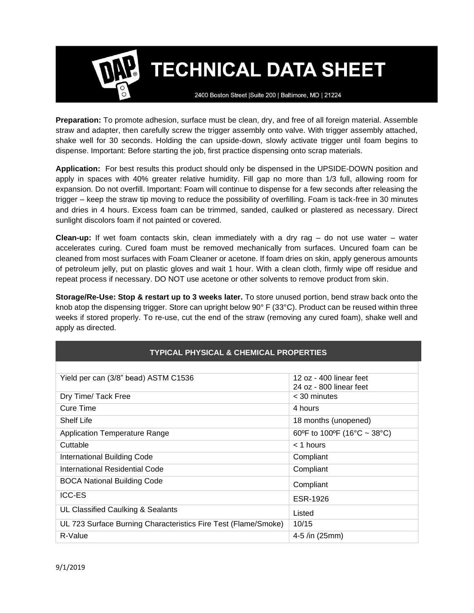2400 Boston Street | Suite 200 | Baltimore, MD | 21224

**Preparation:** To promote adhesion, surface must be clean, dry, and free of all foreign material. Assemble straw and adapter, then carefully screw the trigger assembly onto valve. With trigger assembly attached, shake well for 30 seconds. Holding the can upside-down, slowly activate trigger until foam begins to dispense. Important: Before starting the job, first practice dispensing onto scrap materials.

**Application:** For best results this product should only be dispensed in the UPSIDE-DOWN position and apply in spaces with 40% greater relative humidity. Fill gap no more than 1/3 full, allowing room for expansion. Do not overfill. Important: Foam will continue to dispense for a few seconds after releasing the trigger – keep the straw tip moving to reduce the possibility of overfilling. Foam is tack-free in 30 minutes and dries in 4 hours. Excess foam can be trimmed, sanded, caulked or plastered as necessary. Direct sunlight discolors foam if not painted or covered.

**Clean-up:** If wet foam contacts skin, clean immediately with a dry rag – do not use water – water accelerates curing. Cured foam must be removed mechanically from surfaces. Uncured foam can be cleaned from most surfaces with Foam Cleaner or acetone. If foam dries on skin, apply generous amounts of petroleum jelly, put on plastic gloves and wait 1 hour. With a clean cloth, firmly wipe off residue and repeat process if necessary. DO NOT use acetone or other solvents to remove product from skin.

**Storage/Re-Use: Stop & restart up to 3 weeks later.** To store unused portion, bend straw back onto the knob atop the dispensing trigger. Store can upright below 90° F (33°C). Product can be reused within three weeks if stored properly. To re-use, cut the end of the straw (removing any cured foam), shake well and apply as directed.

| <b>TYPICAL PHYSICAL &amp; CHEMICAL PROPERTIES</b>              |                                                    |  |  |
|----------------------------------------------------------------|----------------------------------------------------|--|--|
|                                                                |                                                    |  |  |
| Yield per can (3/8" bead) ASTM C1536                           | 12 oz - 400 linear feet<br>24 oz - 800 linear feet |  |  |
| Dry Time/ Tack Free                                            | < 30 minutes                                       |  |  |
| Cure Time                                                      | 4 hours                                            |  |  |
| <b>Shelf Life</b>                                              | 18 months (unopened)                               |  |  |
| <b>Application Temperature Range</b>                           | 60°F to 100°F (16°C ~ 38°C)                        |  |  |
| Cuttable                                                       | $<$ 1 hours                                        |  |  |
| International Building Code                                    | Compliant                                          |  |  |
| International Residential Code                                 | Compliant                                          |  |  |
| <b>BOCA National Building Code</b>                             | Compliant                                          |  |  |
| <b>ICC-ES</b>                                                  | ESR-1926                                           |  |  |
| UL Classified Caulking & Sealants                              | Listed                                             |  |  |
| UL 723 Surface Burning Characteristics Fire Test (Flame/Smoke) | 10/15                                              |  |  |
| R-Value                                                        | 4-5 /in (25mm)                                     |  |  |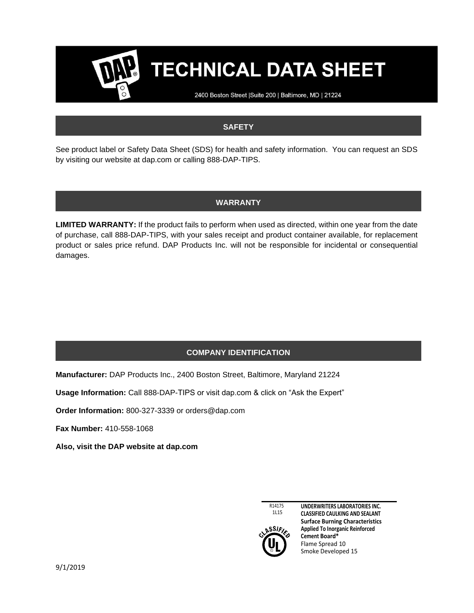2400 Boston Street | Suite 200 | Baltimore, MD | 21224

#### **SAFETY**

See product label or Safety Data Sheet (SDS) for health and safety information. You can request an SDS by visiting our website at dap.com or calling 888-DAP-TIPS.

#### **WARRANTY**

**LIMITED WARRANTY:** If the product fails to perform when used as directed, within one year from the date of purchase, call 888-DAP-TIPS, with your sales receipt and product container available, for replacement product or sales price refund. DAP Products Inc. will not be responsible for incidental or consequential damages.

#### **COMPANY IDENTIFICATION**

**Manufacturer:** DAP Products Inc., 2400 Boston Street, Baltimore, Maryland 21224

**Usage Information:** Call 888-DAP-TIPS or visit dap.com & click on "Ask the Expert"

**Order Information:** 800-327-3339 or orders@dap.com

**Fax Number:** 410-558-1068

**Also, visit the DAP website at dap.com**

R14175 1L15



**UNDERWRITERS LABORATORIES INC. CLASSIFIED CAULKING AND SEALANT Surface Burning Characteristics Applied To Inorganic Reinforced Cement Board\*** Flame Spread 10 Smoke Developed 15